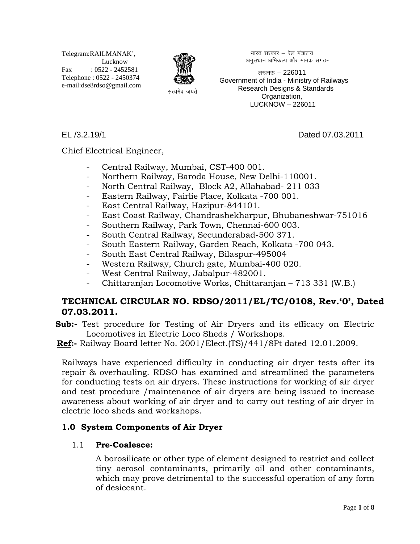Telegram:RAILMANAK', Lucknow Fax : 0522 - 2452581 Telephone : 0522 - 2450374 e-mail:dse8rdso@gmail.com



भारत सरकार – रेल मंत्रालय अनुसंधान अभिकल्प और मानक संगठन

लखनऊ  $-226011$  Government of India - Ministry of Railways Research Designs & Standards Organization, LUCKNOW – 226011

EL /3.2.19/1 Dated 07.03.2011

Chief Electrical Engineer,

- Central Railway, Mumbai, CST-400 001.
- Northern Railway, Baroda House, New Delhi-110001.
- North Central Railway, Block A2, Allahabad- 211 033
- Eastern Railway, Fairlie Place, Kolkata -700 001.
- East Central Railway, Hazipur-844101.
- East Coast Railway, Chandrashekharpur, Bhubaneshwar-751016
- Southern Railway, Park Town, Chennai-600 003.
- South Central Railway, Secunderabad-500 371.
- South Eastern Railway, Garden Reach, Kolkata -700 043.
- South East Central Railway, Bilaspur-495004
- Western Railway, Church gate, Mumbai-400 020.
- West Central Railway, Jabalpur-482001.
- Chittaranjan Locomotive Works, Chittaranjan 713 331 (W.B.)

# **TECHNICAL CIRCULAR NO. RDSO/2011/EL/TC/0108, Rev.'0', Dated 07.03.2011.**

- **Sub:-** Test procedure for Testing of Air Dryers and its efficacy on Electric Locomotives in Electric Loco Sheds / Workshops.
- **Ref:-** Railway Board letter No. 2001/Elect.(TS)/441/8Pt dated 12.01.2009.

Railways have experienced difficulty in conducting air dryer tests after its repair & overhauling. RDSO has examined and streamlined the parameters for conducting tests on air dryers. These instructions for working of air dryer and test procedure /maintenance of air dryers are being issued to increase awareness about working of air dryer and to carry out testing of air dryer in electric loco sheds and workshops.

# **1.0 System Components of Air Dryer**

## 1.1 **Pre-Coalesce:**

A borosilicate or other type of element designed to restrict and collect tiny aerosol contaminants, primarily oil and other contaminants, which may prove detrimental to the successful operation of any form of desiccant.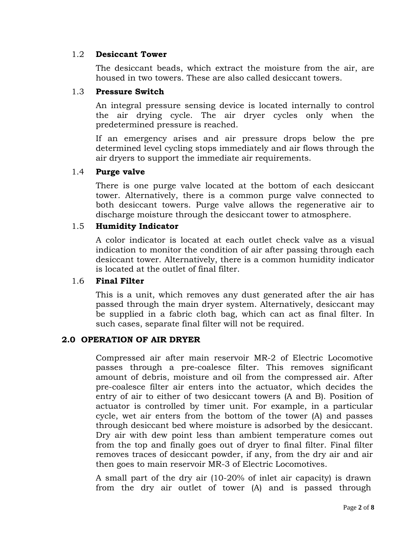#### 1.2 **Desiccant Tower**

The desiccant beads, which extract the moisture from the air, are housed in two towers. These are also called desiccant towers.

#### 1.3 **Pressure Switch**

An integral pressure sensing device is located internally to control the air drying cycle. The air dryer cycles only when the predetermined pressure is reached.

If an emergency arises and air pressure drops below the pre determined level cycling stops immediately and air flows through the air dryers to support the immediate air requirements.

#### 1.4 **Purge valve**

There is one purge valve located at the bottom of each desiccant tower. Alternatively, there is a common purge valve connected to both desiccant towers. Purge valve allows the regenerative air to discharge moisture through the desiccant tower to atmosphere.

#### 1.5 **Humidity Indicator**

A color indicator is located at each outlet check valve as a visual indication to monitor the condition of air after passing through each desiccant tower. Alternatively, there is a common humidity indicator is located at the outlet of final filter.

#### 1.6 **Final Filter**

This is a unit, which removes any dust generated after the air has passed through the main dryer system. Alternatively, desiccant may be supplied in a fabric cloth bag, which can act as final filter. In such cases, separate final filter will not be required.

## **2.0 OPERATION OF AIR DRYER**

Compressed air after main reservoir MR-2 of Electric Locomotive passes through a pre-coalesce filter. This removes significant amount of debris, moisture and oil from the compressed air. After pre-coalesce filter air enters into the actuator, which decides the entry of air to either of two desiccant towers (A and B). Position of actuator is controlled by timer unit. For example, in a particular cycle, wet air enters from the bottom of the tower (A) and passes through desiccant bed where moisture is adsorbed by the desiccant. Dry air with dew point less than ambient temperature comes out from the top and finally goes out of dryer to final filter. Final filter removes traces of desiccant powder, if any, from the dry air and air then goes to main reservoir MR-3 of Electric Locomotives.

A small part of the dry air (10-20% of inlet air capacity) is drawn from the dry air outlet of tower (A) and is passed through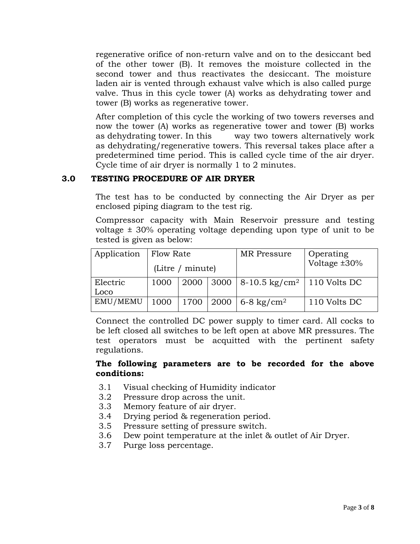regenerative orifice of non-return valve and on to the desiccant bed of the other tower (B). It removes the moisture collected in the second tower and thus reactivates the desiccant. The moisture laden air is vented through exhaust valve which is also called purge valve. Thus in this cycle tower (A) works as dehydrating tower and tower (B) works as regenerative tower.

After completion of this cycle the working of two towers reverses and now the tower (A) works as regenerative tower and tower (B) works as dehydrating tower. In this way two towers alternatively work as dehydrating/regenerative towers. This reversal takes place after a predetermined time period. This is called cycle time of the air dryer. Cycle time of air dryer is normally 1 to 2 minutes.

# **3.0 TESTING PROCEDURE OF AIR DRYER**

The test has to be conducted by connecting the Air Dryer as per enclosed piping diagram to the test rig.

Compressor capacity with Main Reservoir pressure and testing voltage ± 30% operating voltage depending upon type of unit to be tested is given as below:

| Application      | Flow Rate<br>(Litre / minute) |  |  | MR Pressure                                                   | Operating<br>Voltage $\pm 30\%$ |
|------------------|-------------------------------|--|--|---------------------------------------------------------------|---------------------------------|
| Electric<br>Loco |                               |  |  | 1000   2000   3000   8-10.5 kg/cm <sup>2</sup>   110 Volts DC |                                 |
| EMU/MEMU         |                               |  |  | 1000   1700   2000   6-8 kg/cm <sup>2</sup>                   | 110 Volts DC                    |

Connect the controlled DC power supply to timer card. All cocks to be left closed all switches to be left open at above MR pressures. The test operators must be acquitted with the pertinent safety regulations.

#### **The following parameters are to be recorded for the above conditions:**

- 3.1 Visual checking of Humidity indicator
- 3.2 Pressure drop across the unit.
- 3.3 Memory feature of air dryer.
- 3.4 Drying period & regeneration period.
- 3.5 Pressure setting of pressure switch.
- 3.6 Dew point temperature at the inlet & outlet of Air Dryer.
- 3.7 Purge loss percentage.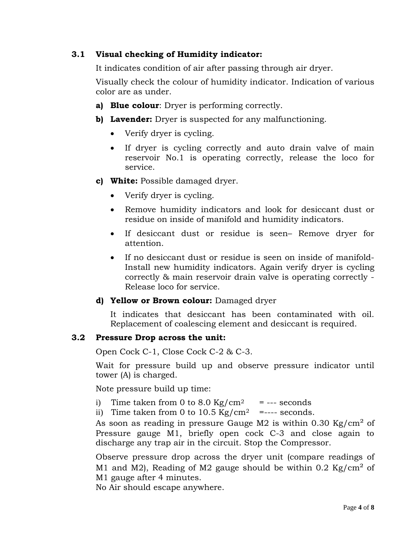# **3.1 Visual checking of Humidity indicator:**

It indicates condition of air after passing through air dryer.

Visually check the colour of humidity indicator. Indication of various color are as under.

- **a) Blue colour**: Dryer is performing correctly.
- **b) Lavender:** Dryer is suspected for any malfunctioning.
	- Verify dryer is cycling.
	- If dryer is cycling correctly and auto drain valve of main reservoir No.1 is operating correctly, release the loco for service.
- **c) White:** Possible damaged dryer.
	- Verify dryer is cycling.
	- Remove humidity indicators and look for desiccant dust or residue on inside of manifold and humidity indicators.
	- If desiccant dust or residue is seen– Remove dryer for attention.
	- If no desiccant dust or residue is seen on inside of manifold-Install new humidity indicators. Again verify dryer is cycling correctly & main reservoir drain valve is operating correctly - Release loco for service.
- **d) Yellow or Brown colour:** Damaged dryer

It indicates that desiccant has been contaminated with oil. Replacement of coalescing element and desiccant is required.

## **3.2 Pressure Drop across the unit:**

Open Cock C-1, Close Cock C-2 & C-3.

Wait for pressure build up and observe pressure indicator until tower (A) is charged.

Note pressure build up time:

- i) Time taken from 0 to 8.0 Kg/cm<sup>2</sup> = --- seconds
- ii) Time taken from 0 to  $10.5 \text{ Kg/cm}^2$  =---- seconds.

As soon as reading in pressure Gauge M2 is within  $0.30 \text{ kg/cm}^2$  of Pressure gauge M1, briefly open cock C-3 and close again to discharge any trap air in the circuit. Stop the Compressor.

Observe pressure drop across the dryer unit (compare readings of M1 and M2), Reading of M2 gauge should be within  $0.2 \text{ Kg/cm}^2$  of M1 gauge after 4 minutes.

No Air should escape anywhere.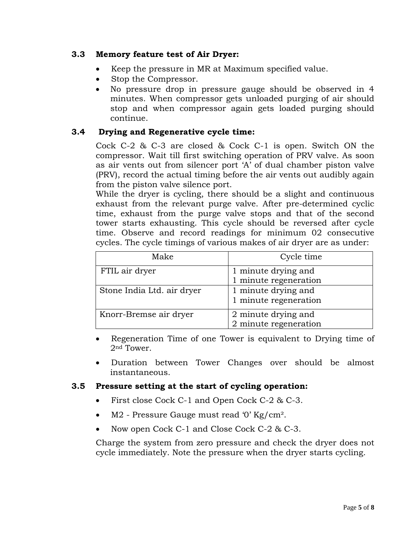## **3.3 Memory feature test of Air Dryer:**

- Keep the pressure in MR at Maximum specified value.
- Stop the Compressor.
- No pressure drop in pressure gauge should be observed in 4 minutes. When compressor gets unloaded purging of air should stop and when compressor again gets loaded purging should continue.

## **3.4 Drying and Regenerative cycle time:**

Cock C-2 & C-3 are closed & Cock C-1 is open. Switch ON the compressor. Wait till first switching operation of PRV valve. As soon as air vents out from silencer port 'A' of dual chamber piston valve (PRV), record the actual timing before the air vents out audibly again from the piston valve silence port.

While the dryer is cycling, there should be a slight and continuous exhaust from the relevant purge valve. After pre-determined cyclic time, exhaust from the purge valve stops and that of the second tower starts exhausting. This cycle should be reversed after cycle time. Observe and record readings for minimum 02 consecutive cycles. The cycle timings of various makes of air dryer are as under:

| Make                       | Cycle time                                   |
|----------------------------|----------------------------------------------|
| FTIL air dryer             | 1 minute drying and<br>1 minute regeneration |
| Stone India Ltd. air dryer | 1 minute drying and<br>1 minute regeneration |
| Knorr-Bremse air dryer     | 2 minute drying and<br>2 minute regeneration |

• Regeneration Time of one Tower is equivalent to Drying time of 2nd Tower.

• Duration between Tower Changes over should be almost instantaneous.

## **3.5 Pressure setting at the start of cycling operation:**

- First close Cock C-1 and Open Cock C-2 & C-3.
- M2 Pressure Gauge must read '0' Kg/cm<sup>2</sup>.
- Now open Cock C-1 and Close Cock C-2 & C-3.

Charge the system from zero pressure and check the dryer does not cycle immediately. Note the pressure when the dryer starts cycling.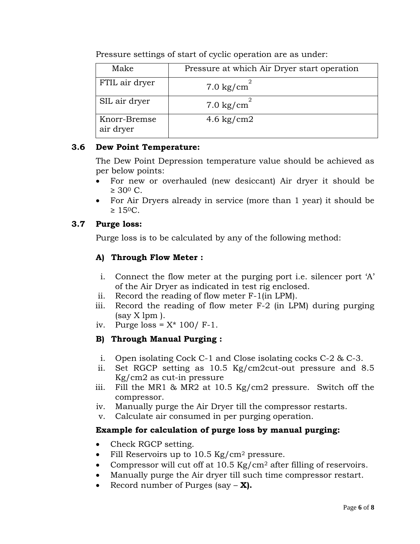| Make                      | Pressure at which Air Dryer start operation |
|---------------------------|---------------------------------------------|
| FTIL air dryer            | $7.0 \text{ kg/cm}^2$                       |
| SIL air dryer             | $7.0 \text{ kg/cm}^2$                       |
| Knorr-Bremse<br>air dryer | 4.6 $\text{kg/cm2}$                         |

Pressure settings of start of cyclic operation are as under:

# **3.6 Dew Point Temperature:**

The Dew Point Depression temperature value should be achieved as per below points:

- For new or overhauled (new desiccant) Air dryer it should be  $\geq 30^{\circ}$  C.
- For Air Dryers already in service (more than 1 year) it should be  $\geq 15^{\circ}$ C.

# **3.7 Purge loss:**

Purge loss is to be calculated by any of the following method:

# **A) Through Flow Meter :**

- i. Connect the flow meter at the purging port i.e. silencer port 'A' of the Air Dryer as indicated in test rig enclosed.
- ii. Record the reading of flow meter F-1(in LPM).
- iii. Record the reading of flow meter F-2 (in LPM) during purging  $(sav X lpm)$ .
- iv. Purge loss =  $X^*$  100/ F-1.

# **B) Through Manual Purging :**

- i. Open isolating Cock C-1 and Close isolating cocks C-2 & C-3.
- ii. Set RGCP setting as 10.5 Kg/cm2cut-out pressure and 8.5 Kg/cm2 as cut-in pressure
- iii. Fill the MR1 & MR2 at 10.5 Kg/cm2 pressure. Switch off the compressor.
- iv. Manually purge the Air Dryer till the compressor restarts.
- v. Calculate air consumed in per purging operation.

# **Example for calculation of purge loss by manual purging:**

- Check RGCP setting.
- Fill Reservoirs up to 10.5 Kg/cm<sup>2</sup> pressure.
- Compressor will cut off at  $10.5 \text{ Kg/cm}^2$  after filling of reservoirs.
- Manually purge the Air dryer till such time compressor restart.
- Record number of Purges (say **X).**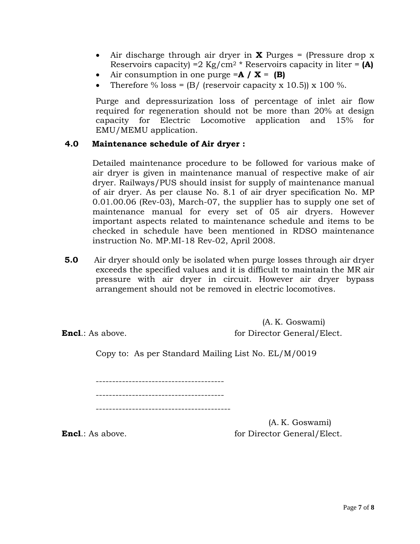- Air discharge through air dryer in **X** Purges = (Pressure drop x Reservoirs capacity) =2 Kg/cm2 \* Reservoirs capacity in liter = **(A)**
- Air consumption in one purge  $=A / X = (B)$
- Therefore % loss =  $(B/$  (reservoir capacity x 10.5)) x 100 %.

Purge and depressurization loss of percentage of inlet air flow required for regeneration should not be more than 20% at design capacity for Electric Locomotive application and 15% for EMU/MEMU application.

#### **4.0 Maintenance schedule of Air dryer :**

 Detailed maintenance procedure to be followed for various make of air dryer is given in maintenance manual of respective make of air dryer. Railways/PUS should insist for supply of maintenance manual of air dryer. As per clause No. 8.1 of air dryer specification No. MP 0.01.00.06 (Rev-03), March-07, the supplier has to supply one set of maintenance manual for every set of 05 air dryers. However important aspects related to maintenance schedule and items to be checked in schedule have been mentioned in RDSO maintenance instruction No. MP.MI-18 Rev-02, April 2008.

**5.0** Air dryer should only be isolated when purge losses through air dryer exceeds the specified values and it is difficult to maintain the MR air pressure with air dryer in circuit. However air dryer bypass arrangement should not be removed in electric locomotives.

(A. K. Goswami) **Encl**.: As above. **Figure 1 Encl.:** As above.

Copy to: As per Standard Mailing List No. EL/M/0019

--------------------------------------- ---------------------------------------

-----------------------------------------

(A. K. Goswami) **Encl**.: As above. **For Director General/Elect. for Director General/Elect.**